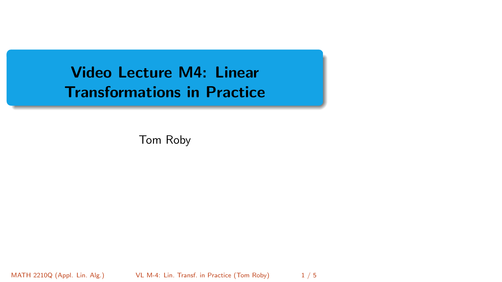<span id="page-0-0"></span>Video Lecture M4: Linear Transformations in Practice

Tom Roby

MATH 2210Q (Appl. Lin. Alg.) [VL M-4: Lin. Transf. in Practice](#page-4-0) (Tom Roby) 1/5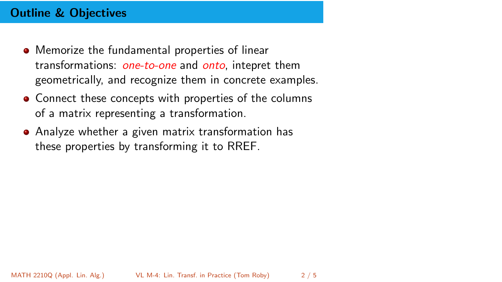# Outline & Objectives

- **•** Memorize the fundamental properties of linear transformations: *one-to-one* and *onto*, intepret them geometrically, and recognize them in concrete examples.
- Connect these concepts with properties of the columns of a matrix representing a transformation.
- Analyze whether a given matrix transformation has these properties by transforming it to RREF.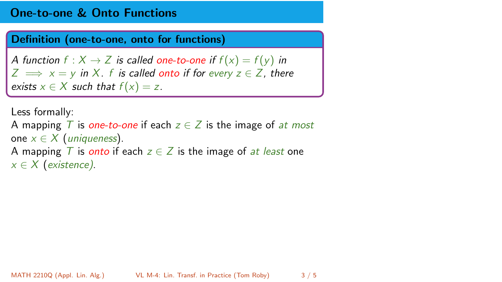## One-to-one & Onto Functions

#### Definition (one-to-one, onto for functions)

A function  $f : X \to Z$  is called one-to-one if  $f(x) = f(y)$  in  $Z \implies x = y$  in X. f is called onto if for every  $z \in Z$ , there exists  $x \in X$  such that  $f(x) = z$ .

```
Less formally:
A mapping T is one-to-one if each z \in \mathbb{Z} is the image of at most
one x \in X (uniqueness).
A mapping T is onto if each z \in \mathbb{Z} is the image of at least one
x \in X (existence).
```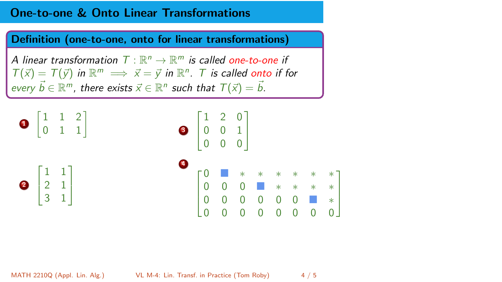## One-to-one & Onto Linear Transformations

Definition (one-to-one, onto for linear transformations)

A linear transformation  $\mathcal{T}:\mathbb{R}^n\to\mathbb{R}^m$  is called one-to-one if  $T(\vec{x}) = T(\vec{y})$  in  $\mathbb{R}^m \implies \vec{x} = \vec{y}$  in  $\mathbb{R}^n$ . T is called onto if for every  $\vec{b} \in \mathbb{R}^m$ , there exists  $\vec{x} \in \mathbb{R}^n$  such that  $\mathcal{T}(\vec{x}) = \vec{b}$ .



MATH 2210Q (Appl. Lin. Alg.) [VL M-4: Lin. Transf. in Practice](#page-0-0) (Tom Roby) 4 / 5